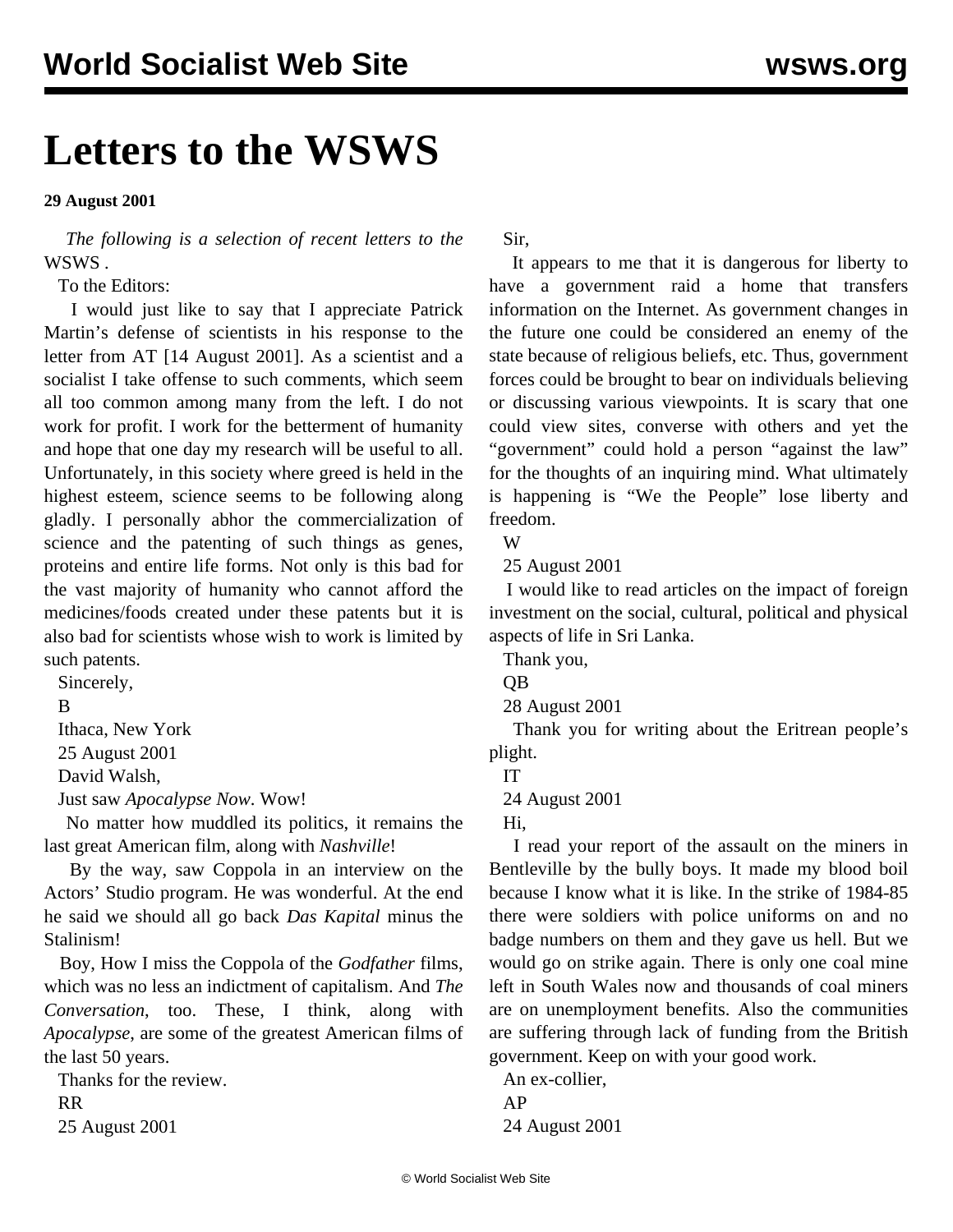## **Letters to the WSWS**

## **29 August 2001**

 *The following is a selection of recent letters to the* WSWS *.*

To the Editors:

 I would just like to say that I appreciate Patrick Martin's defense of scientists in his response to the letter from AT [14 August 2001]. As a scientist and a socialist I take offense to such comments, which seem all too common among many from the left. I do not work for profit. I work for the betterment of humanity and hope that one day my research will be useful to all. Unfortunately, in this society where greed is held in the highest esteem, science seems to be following along gladly. I personally abhor the commercialization of science and the patenting of such things as genes, proteins and entire life forms. Not only is this bad for the vast majority of humanity who cannot afford the medicines/foods created under these patents but it is also bad for scientists whose wish to work is limited by such patents.

Sincerely,

B

Ithaca, New York

25 August 2001

David Walsh,

Just saw *Apocalypse Now*. Wow!

 No matter how muddled its politics, it remains the last great American film, along with *Nashville*!

 By the way, saw Coppola in an interview on the Actors' Studio program. He was wonderful. At the end he said we should all go back *Das Kapital* minus the Stalinism!

 Boy, How I miss the Coppola of the *Godfather* films, which was no less an indictment of capitalism. And *The Conversation*, too. These, I think, along with *Apocalypse*, are some of the greatest American films of the last 50 years.

 Thanks for the review. RR 25 August 2001

Sir,

 It appears to me that it is dangerous for liberty to have a government raid a home that transfers information on the Internet. As government changes in the future one could be considered an enemy of the state because of religious beliefs, etc. Thus, government forces could be brought to bear on individuals believing or discussing various viewpoints. It is scary that one could view sites, converse with others and yet the "government" could hold a person "against the law" for the thoughts of an inquiring mind. What ultimately is happening is "We the People" lose liberty and freedom.

W

25 August 2001

 I would like to read articles on the impact of foreign investment on the social, cultural, political and physical aspects of life in Sri Lanka.

Thank you,

QB

28 August 2001

 Thank you for writing about the Eritrean people's plight.

IT

24 August 2001

Hi,

 I read your report of the assault on the miners in Bentleville by the bully boys. It made my blood boil because I know what it is like. In the strike of 1984-85 there were soldiers with police uniforms on and no badge numbers on them and they gave us hell. But we would go on strike again. There is only one coal mine left in South Wales now and thousands of coal miners are on unemployment benefits. Also the communities are suffering through lack of funding from the British government. Keep on with your good work.

 An ex-collier, AP 24 August 2001